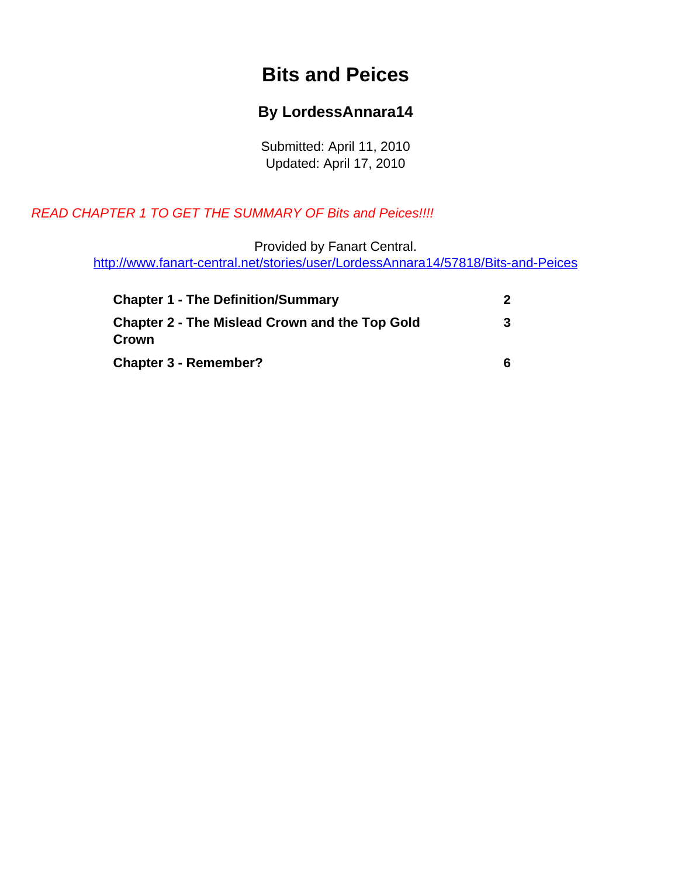## **Bits and Peices**

#### **By LordessAnnara14**

Submitted: April 11, 2010 Updated: April 17, 2010

#### <span id="page-0-0"></span>READ CHAPTER 1 TO GET THE SUMMARY OF Bits and Peices!!!!

Provided by Fanart Central.

[http://www.fanart-central.net/stories/user/LordessAnnara14/57818/Bits-and-Peices](#page-0-0)

| <b>Chapter 1 - The Definition/Summary</b>                      |   |
|----------------------------------------------------------------|---|
| <b>Chapter 2 - The Mislead Crown and the Top Gold</b><br>Crown | 3 |
| <b>Chapter 3 - Remember?</b>                                   | 6 |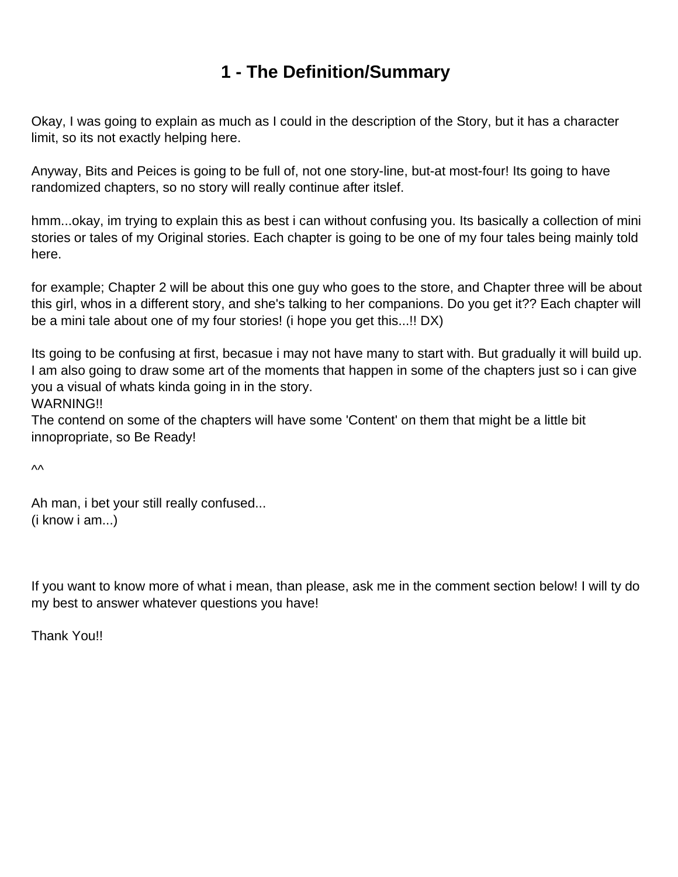# **1 - The Definition/Summary**

<span id="page-1-0"></span>Okay, I was going to explain as much as I could in the description of the Story, but it has a character limit, so its not exactly helping here.

Anyway, Bits and Peices is going to be full of, not one story-line, but-at most-four! Its going to have randomized chapters, so no story will really continue after itslef.

hmm...okay, im trying to explain this as best i can without confusing you. Its basically a collection of mini stories or tales of my Original stories. Each chapter is going to be one of my four tales being mainly told here.

for example; Chapter 2 will be about this one guy who goes to the store, and Chapter three will be about this girl, whos in a different story, and she's talking to her companions. Do you get it?? Each chapter will be a mini tale about one of my four stories! (i hope you get this...!! DX)

Its going to be confusing at first, becasue i may not have many to start with. But gradually it will build up. I am also going to draw some art of the moments that happen in some of the chapters just so i can give you a visual of whats kinda going in in the story.

WARNING!!

The contend on some of the chapters will have some 'Content' on them that might be a little bit innopropriate, so Be Ready!

^^

Ah man, i bet your still really confused... (i know i am...)

If you want to know more of what i mean, than please, ask me in the comment section below! I will ty do my best to answer whatever questions you have!

Thank You!!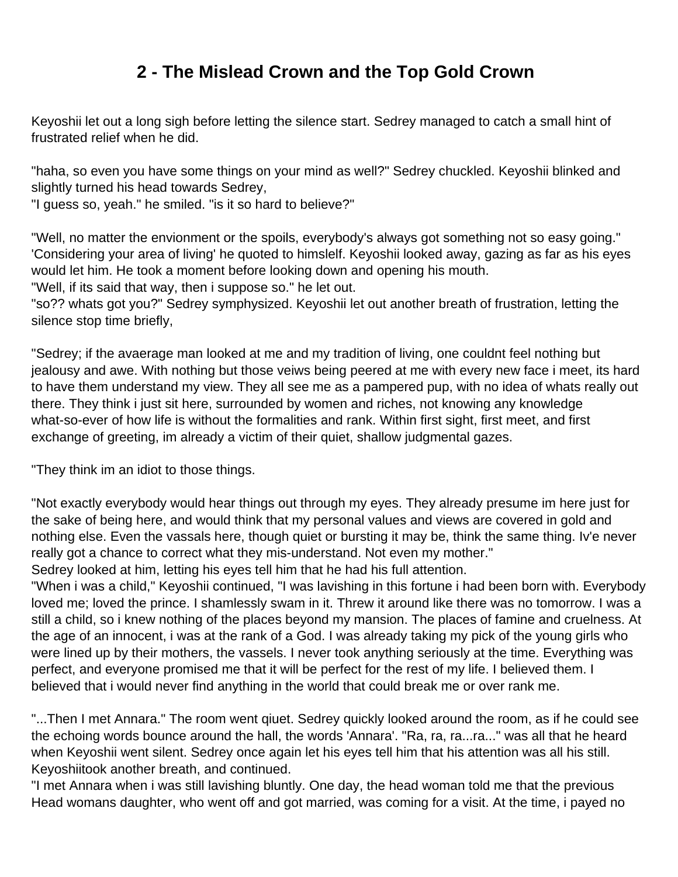# **2 - The Mislead Crown and the Top Gold Crown**

<span id="page-2-0"></span>Keyoshii let out a long sigh before letting the silence start. Sedrey managed to catch a small hint of frustrated relief when he did.

"haha, so even you have some things on your mind as well?" Sedrey chuckled. Keyoshii blinked and slightly turned his head towards Sedrey,

"I guess so, yeah." he smiled. "is it so hard to believe?"

"Well, no matter the envionment or the spoils, everybody's always got something not so easy going." 'Considering your area of living' he quoted to himslelf. Keyoshii looked away, gazing as far as his eyes would let him. He took a moment before looking down and opening his mouth.

"Well, if its said that way, then i suppose so." he let out.

"so?? whats got you?" Sedrey symphysized. Keyoshii let out another breath of frustration, letting the silence stop time briefly,

"Sedrey; if the avaerage man looked at me and my tradition of living, one couldnt feel nothing but jealousy and awe. With nothing but those veiws being peered at me with every new face i meet, its hard to have them understand my view. They all see me as a pampered pup, with no idea of whats really out there. They think i just sit here, surrounded by women and riches, not knowing any knowledge what-so-ever of how life is without the formalities and rank. Within first sight, first meet, and first exchange of greeting, im already a victim of their quiet, shallow judgmental gazes.

"They think im an idiot to those things.

"Not exactly everybody would hear things out through my eyes. They already presume im here just for the sake of being here, and would think that my personal values and views are covered in gold and nothing else. Even the vassals here, though quiet or bursting it may be, think the same thing. Iv'e never really got a chance to correct what they mis-understand. Not even my mother."

Sedrey looked at him, letting his eyes tell him that he had his full attention.

"When i was a child," Keyoshii continued, "I was lavishing in this fortune i had been born with. Everybody loved me; loved the prince. I shamlessly swam in it. Threw it around like there was no tomorrow. I was a still a child, so i knew nothing of the places beyond my mansion. The places of famine and cruelness. At the age of an innocent, i was at the rank of a God. I was already taking my pick of the young girls who were lined up by their mothers, the vassels. I never took anything seriously at the time. Everything was perfect, and everyone promised me that it will be perfect for the rest of my life. I believed them. I believed that i would never find anything in the world that could break me or over rank me.

"...Then I met Annara." The room went qiuet. Sedrey quickly looked around the room, as if he could see the echoing words bounce around the hall, the words 'Annara'. "Ra, ra, ra...ra..." was all that he heard when Keyoshii went silent. Sedrey once again let his eyes tell him that his attention was all his still. Keyoshiitook another breath, and continued.

"I met Annara when i was still lavishing bluntly. One day, the head woman told me that the previous Head womans daughter, who went off and got married, was coming for a visit. At the time, i payed no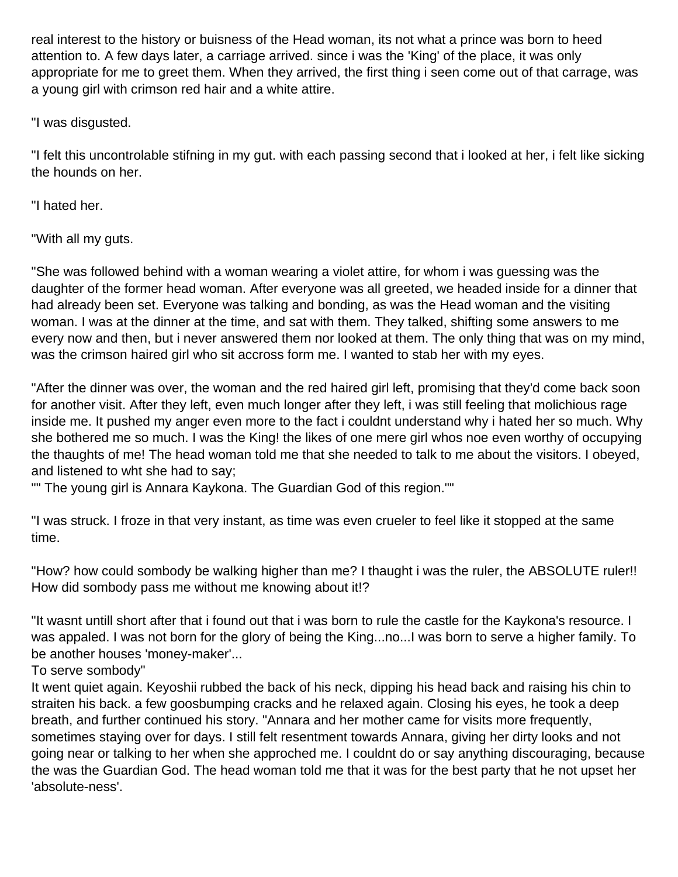real interest to the history or buisness of the Head woman, its not what a prince was born to heed attention to. A few days later, a carriage arrived. since i was the 'King' of the place, it was only appropriate for me to greet them. When they arrived, the first thing i seen come out of that carrage, was a young girl with crimson red hair and a white attire.

"I was disgusted.

"I felt this uncontrolable stifning in my gut. with each passing second that i looked at her, i felt like sicking the hounds on her.

"I hated her.

"With all my guts.

"She was followed behind with a woman wearing a violet attire, for whom i was guessing was the daughter of the former head woman. After everyone was all greeted, we headed inside for a dinner that had already been set. Everyone was talking and bonding, as was the Head woman and the visiting woman. I was at the dinner at the time, and sat with them. They talked, shifting some answers to me every now and then, but i never answered them nor looked at them. The only thing that was on my mind, was the crimson haired girl who sit accross form me. I wanted to stab her with my eyes.

"After the dinner was over, the woman and the red haired girl left, promising that they'd come back soon for another visit. After they left, even much longer after they left, i was still feeling that molichious rage inside me. It pushed my anger even more to the fact i couldnt understand why i hated her so much. Why she bothered me so much. I was the King! the likes of one mere girl whos noe even worthy of occupying the thaughts of me! The head woman told me that she needed to talk to me about the visitors. I obeyed, and listened to wht she had to say;

"" The young girl is Annara Kaykona. The Guardian God of this region.""

"I was struck. I froze in that very instant, as time was even crueler to feel like it stopped at the same time.

"How? how could sombody be walking higher than me? I thaught i was the ruler, the ABSOLUTE ruler!! How did sombody pass me without me knowing about it!?

"It wasnt untill short after that i found out that i was born to rule the castle for the Kaykona's resource. I was appaled. I was not born for the glory of being the King...no...I was born to serve a higher family. To be another houses 'money-maker'...

To serve sombody"

It went quiet again. Keyoshii rubbed the back of his neck, dipping his head back and raising his chin to straiten his back. a few goosbumping cracks and he relaxed again. Closing his eyes, he took a deep breath, and further continued his story. "Annara and her mother came for visits more frequently, sometimes staying over for days. I still felt resentment towards Annara, giving her dirty looks and not going near or talking to her when she approched me. I couldnt do or say anything discouraging, because the was the Guardian God. The head woman told me that it was for the best party that he not upset her 'absolute-ness'.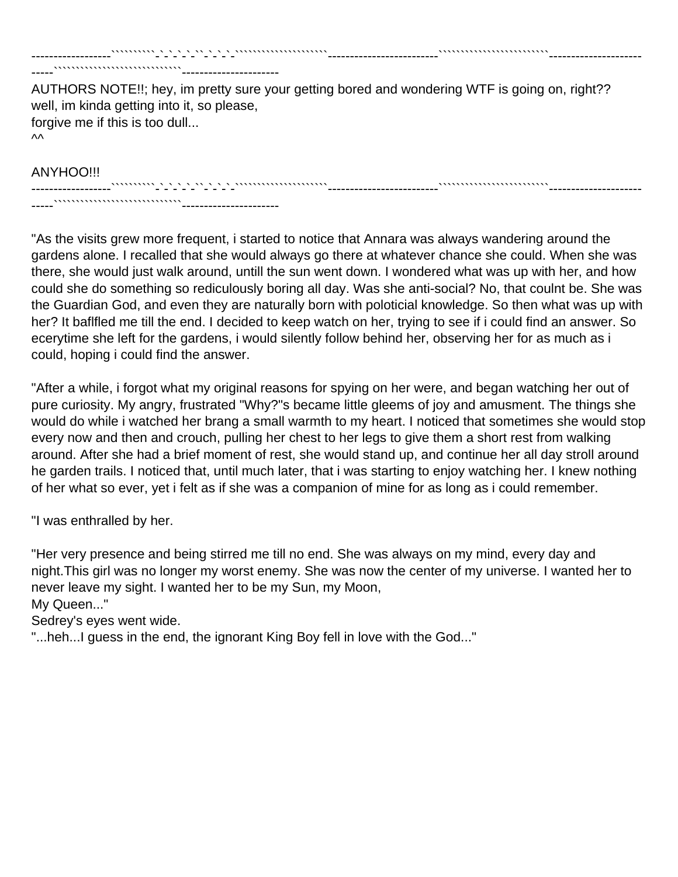AUTHORS NOTE!!; hey, im pretty sure your getting bored and wondering WTF is going on, right?? well, im kinda getting into it, so please, forgive me if this is too dull...  $\mathsf{M}$ 

------------------``````````-`-`-`-`-``-`-`-`-`````````````````````-------------------------`````````````````````````---------------------

#### ANYHOO!!!

------------------``````````-`-`-`-`-``-`-`-`-`````````````````````-------------------------`````````````````````````--------------------- -----`````````````````````````````----------------------

-----`````````````````````````````----------------------

"As the visits grew more frequent, i started to notice that Annara was always wandering around the gardens alone. I recalled that she would always go there at whatever chance she could. When she was there, she would just walk around, untill the sun went down. I wondered what was up with her, and how could she do something so rediculously boring all day. Was she anti-social? No, that coulnt be. She was the Guardian God, and even they are naturally born with poloticial knowledge. So then what was up with her? It baflfled me till the end. I decided to keep watch on her, trying to see if i could find an answer. So ecerytime she left for the gardens, i would silently follow behind her, observing her for as much as i could, hoping i could find the answer.

"After a while, i forgot what my original reasons for spying on her were, and began watching her out of pure curiosity. My angry, frustrated "Why?"s became little gleems of joy and amusment. The things she would do while i watched her brang a small warmth to my heart. I noticed that sometimes she would stop every now and then and crouch, pulling her chest to her legs to give them a short rest from walking around. After she had a brief moment of rest, she would stand up, and continue her all day stroll around he garden trails. I noticed that, until much later, that i was starting to enjoy watching her. I knew nothing of her what so ever, yet i felt as if she was a companion of mine for as long as i could remember.

"I was enthralled by her.

"Her very presence and being stirred me till no end. She was always on my mind, every day and night.This girl was no longer my worst enemy. She was now the center of my universe. I wanted her to never leave my sight. I wanted her to be my Sun, my Moon, My Queen..."

Sedrey's eyes went wide.

"...heh...I guess in the end, the ignorant King Boy fell in love with the God..."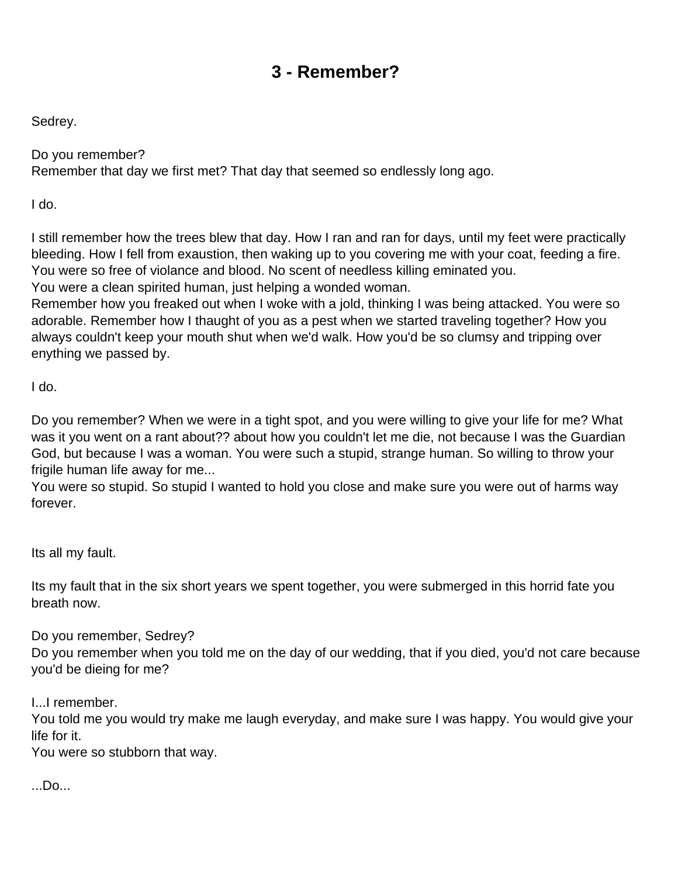# **3 - Remember?**

<span id="page-5-0"></span>Sedrey.

Do you remember? Remember that day we first met? That day that seemed so endlessly long ago.

I do.

I still remember how the trees blew that day. How I ran and ran for days, until my feet were practically bleeding. How I fell from exaustion, then waking up to you covering me with your coat, feeding a fire. You were so free of violance and blood. No scent of needless killing eminated you.

You were a clean spirited human, just helping a wonded woman.

Remember how you freaked out when I woke with a jold, thinking I was being attacked. You were so adorable. Remember how I thaught of you as a pest when we started traveling together? How you always couldn't keep your mouth shut when we'd walk. How you'd be so clumsy and tripping over enything we passed by.

I do.

Do you remember? When we were in a tight spot, and you were willing to give your life for me? What was it you went on a rant about?? about how you couldn't let me die, not because I was the Guardian God, but because I was a woman. You were such a stupid, strange human. So willing to throw your frigile human life away for me...

You were so stupid. So stupid I wanted to hold you close and make sure you were out of harms way forever.

Its all my fault.

Its my fault that in the six short years we spent together, you were submerged in this horrid fate you breath now.

Do you remember, Sedrey?

Do you remember when you told me on the day of our wedding, that if you died, you'd not care because you'd be dieing for me?

I...I remember.

You told me you would try make me laugh everyday, and make sure I was happy. You would give your life for it.

You were so stubborn that way.

...Do...